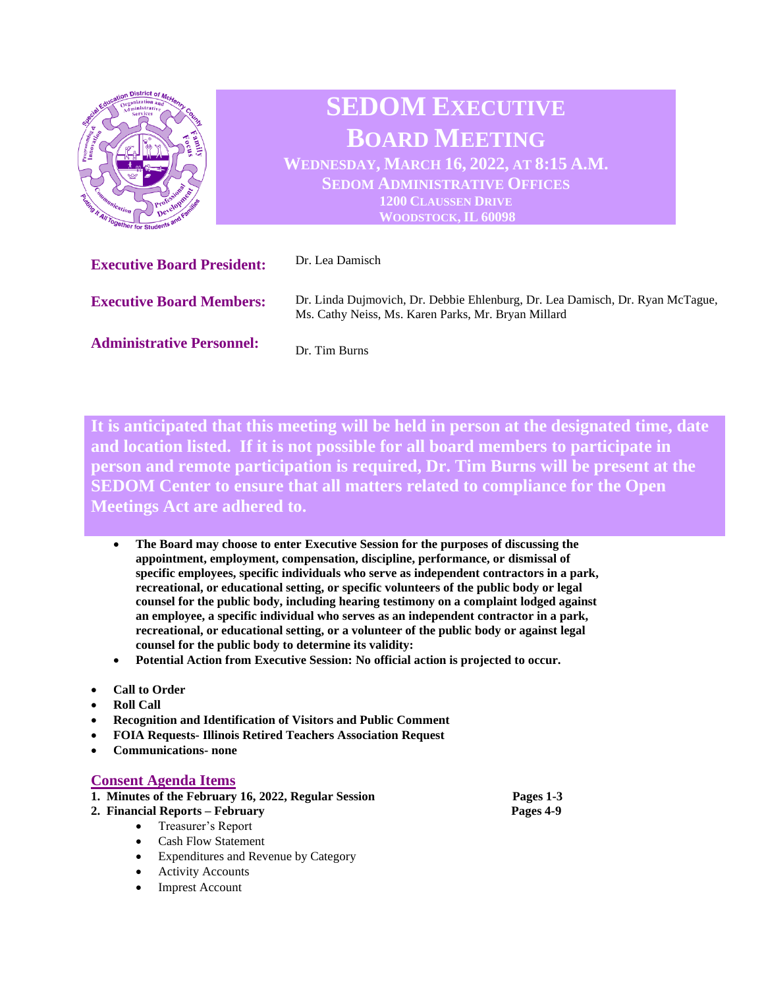

**It is anticipated that this meeting will be held in person at the designated time, date and location listed. If it is not possible for all board members to participate in person and remote participation is required, Dr. Tim Burns will be present at the SEDOM Center to ensure that all matters related to compliance for the Open Meetings Act are adhered to.** 

- **The Board may choose to enter Executive Session for the purposes of discussing the appointment, employment, compensation, discipline, performance, or dismissal of specific employees, specific individuals who serve as independent contractors in a park, recreational, or educational setting, or specific volunteers of the public body or legal counsel for the public body, including hearing testimony on a complaint lodged against an employee, a specific individual who serves as an independent contractor in a park, recreational, or educational setting, or a volunteer of the public body or against legal counsel for the public body to determine its validity:**
- **Potential Action from Executive Session: No official action is projected to occur.**
- **Call to Order**
- **Roll Call**
- **Recognition and Identification of Visitors and Public Comment**
- **FOIA Requests- Illinois Retired Teachers Association Request**
- **Communications- none**

## **Consent Agenda Items**

- **1. Minutes of the February 16, 2022, Regular Session Pages 1-3**
- **2. Financial Reports – February Pages 4-9**
	- Treasurer's Report
	- Cash Flow Statement
	- Expenditures and Revenue by Category
	- Activity Accounts
	- Imprest Account